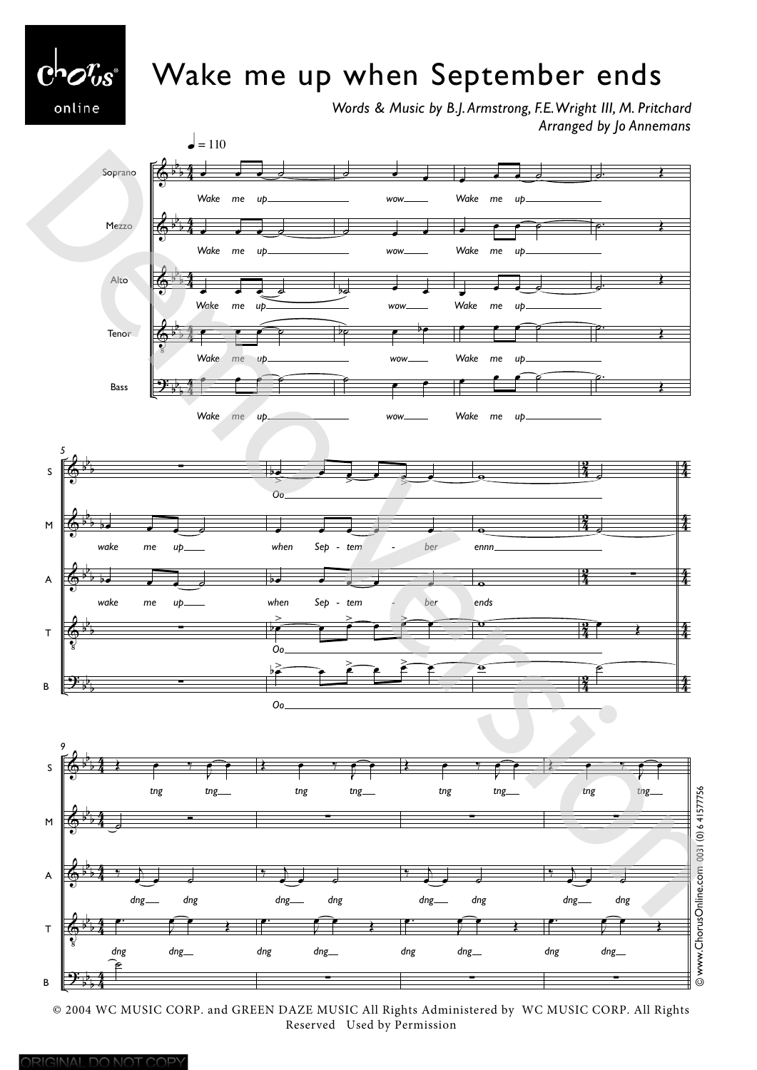## Wake me up when September ends

*Words & Music by B.J. Armstrong, F.E. Wright III, M. Pritchard Arranged by Jo Annemans*



© 2004 WC MUSIC CORP. and GREEN DAZE MUSIC All Rights Administered by WC MUSIC CORP. All Rights Reserved Used by Permission

 $C^{\mathsf{h}}\mathcal{O}^{\mathcal{T}}_{\mathsf{u}\mathsf{S}}$ 

online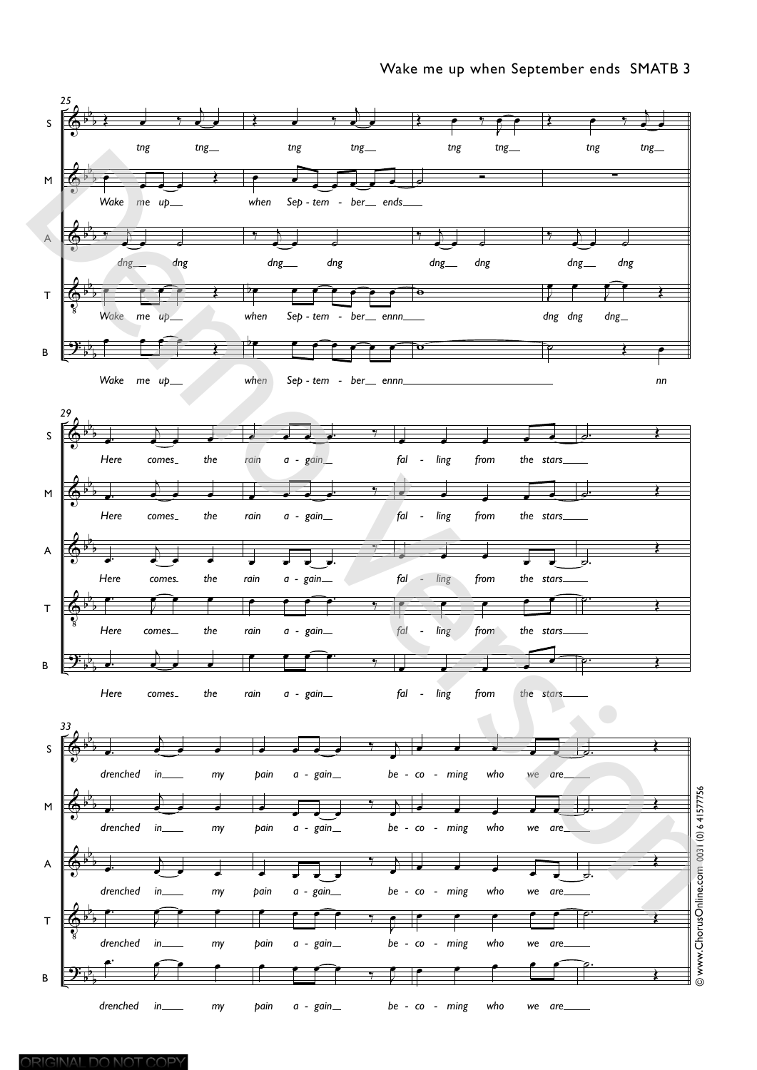

ORIGINAL DO NOT COPY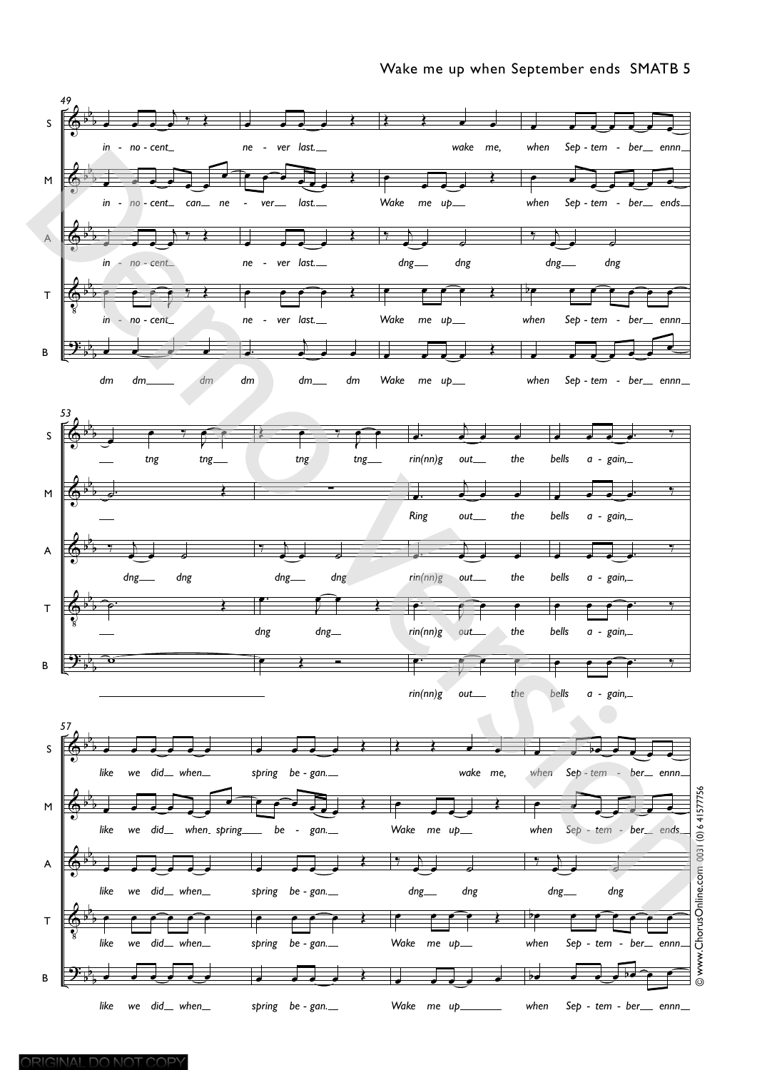

## Wake me up when September ends SMATB 5